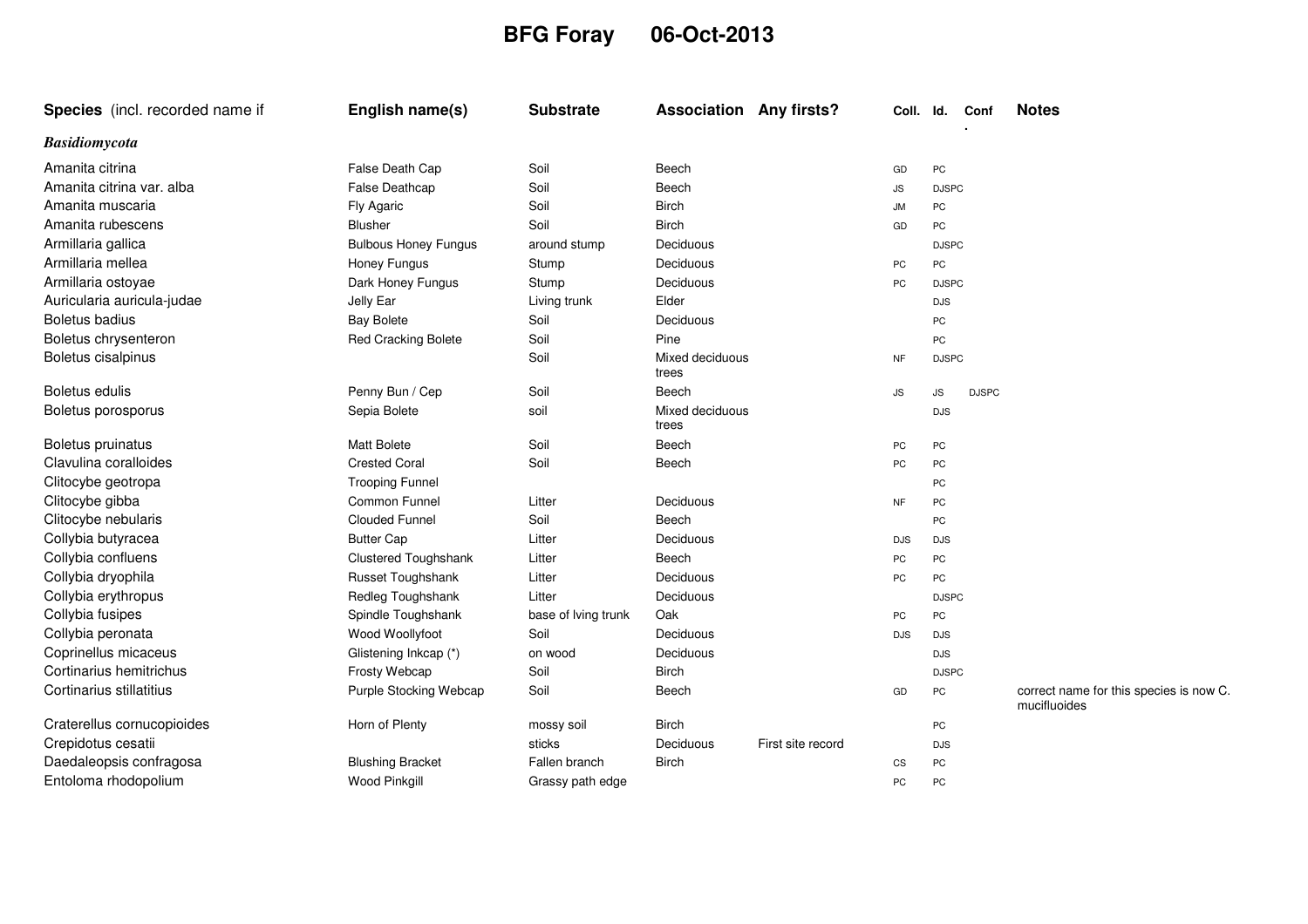## **BFG Foray 06-Oct-2013**

| Species (incl. recorded name if | English name(s)             | <b>Substrate</b>    | <b>Association Any firsts?</b> |                   | Coll.      | ld.          | Conf         | <b>Notes</b>                                            |
|---------------------------------|-----------------------------|---------------------|--------------------------------|-------------------|------------|--------------|--------------|---------------------------------------------------------|
| <b>Basidiomycota</b>            |                             |                     |                                |                   |            |              |              |                                                         |
| Amanita citrina                 | False Death Cap             | Soil                | Beech                          |                   | GD         | PC           |              |                                                         |
| Amanita citrina var. alba       | False Deathcap              | Soil                | Beech                          |                   | <b>JS</b>  | <b>DJSPC</b> |              |                                                         |
| Amanita muscaria                | Fly Agaric                  | Soil                | <b>Birch</b>                   |                   | <b>JM</b>  | <b>PC</b>    |              |                                                         |
| Amanita rubescens               | <b>Blusher</b>              | Soil                | <b>Birch</b>                   |                   | GD         | PC           |              |                                                         |
| Armillaria gallica              | <b>Bulbous Honey Fungus</b> | around stump        | Deciduous                      |                   |            | <b>DJSPC</b> |              |                                                         |
| Armillaria mellea               | Honey Fungus                | Stump               | Deciduous                      |                   | PC         | PC           |              |                                                         |
| Armillaria ostoyae              | Dark Honey Fungus           | Stump               | Deciduous                      |                   | PC         | <b>DJSPC</b> |              |                                                         |
| Auricularia auricula-judae      | Jelly Ear                   | Living trunk        | Elder                          |                   |            | <b>DJS</b>   |              |                                                         |
| Boletus badius                  | <b>Bay Bolete</b>           | Soil                | Deciduous                      |                   |            | PC           |              |                                                         |
| Boletus chrysenteron            | <b>Red Cracking Bolete</b>  | Soil                | Pine                           |                   |            | PC           |              |                                                         |
| Boletus cisalpinus              |                             | Soil                | Mixed deciduous<br>trees       |                   | NF         | <b>DJSPC</b> |              |                                                         |
| Boletus edulis                  | Penny Bun / Cep             | Soil                | Beech                          |                   | <b>JS</b>  | JS           | <b>DJSPC</b> |                                                         |
| Boletus porosporus              | Sepia Bolete                | soil                | Mixed deciduous<br>trees       |                   |            | <b>DJS</b>   |              |                                                         |
| Boletus pruinatus               | Matt Bolete                 | Soil                | Beech                          |                   | PC         | PC           |              |                                                         |
| Clavulina coralloides           | <b>Crested Coral</b>        | Soil                | Beech                          |                   | PC         | PC           |              |                                                         |
| Clitocybe geotropa              | <b>Trooping Funnel</b>      |                     |                                |                   |            | PC           |              |                                                         |
| Clitocybe gibba                 | Common Funnel               | Litter              | Deciduous                      |                   | NF         | PC           |              |                                                         |
| Clitocybe nebularis             | <b>Clouded Funnel</b>       | Soil                | Beech                          |                   |            | PC           |              |                                                         |
| Collybia butyracea              | <b>Butter Cap</b>           | Litter              | Deciduous                      |                   | <b>DJS</b> | <b>DJS</b>   |              |                                                         |
| Collybia confluens              | Clustered Toughshank        | Litter              | Beech                          |                   | PC         | PC           |              |                                                         |
| Collybia dryophila              | Russet Toughshank           | Litter              | Deciduous                      |                   | PC         | PC           |              |                                                         |
| Collybia erythropus             | Redleg Toughshank           | Litter              | Deciduous                      |                   |            | <b>DJSPC</b> |              |                                                         |
| Collybia fusipes                | Spindle Toughshank          | base of Iving trunk | Oak                            |                   | PC         | PC           |              |                                                         |
| Collybia peronata               | Wood Woollyfoot             | Soil                | Deciduous                      |                   | <b>DJS</b> | <b>DJS</b>   |              |                                                         |
| Coprinellus micaceus            | Glistening Inkcap (*)       | on wood             | Deciduous                      |                   |            | <b>DJS</b>   |              |                                                         |
| Cortinarius hemitrichus         | Frosty Webcap               | Soil                | <b>Birch</b>                   |                   |            | <b>DJSPC</b> |              |                                                         |
| Cortinarius stillatitius        | Purple Stocking Webcap      | Soil                | Beech                          |                   | GD         | PC           |              | correct name for this species is now C.<br>mucifluoides |
| Craterellus cornucopioides      | Horn of Plenty              | mossy soil          | <b>Birch</b>                   |                   |            | PC           |              |                                                         |
| Crepidotus cesatii              |                             | sticks              | Deciduous                      | First site record |            | <b>DJS</b>   |              |                                                         |
| Daedaleopsis confragosa         | <b>Blushing Bracket</b>     | Fallen branch       | <b>Birch</b>                   |                   | CS         | PC           |              |                                                         |
| Entoloma rhodopolium            | <b>Wood Pinkgill</b>        | Grassy path edge    |                                |                   | PC         | PC           |              |                                                         |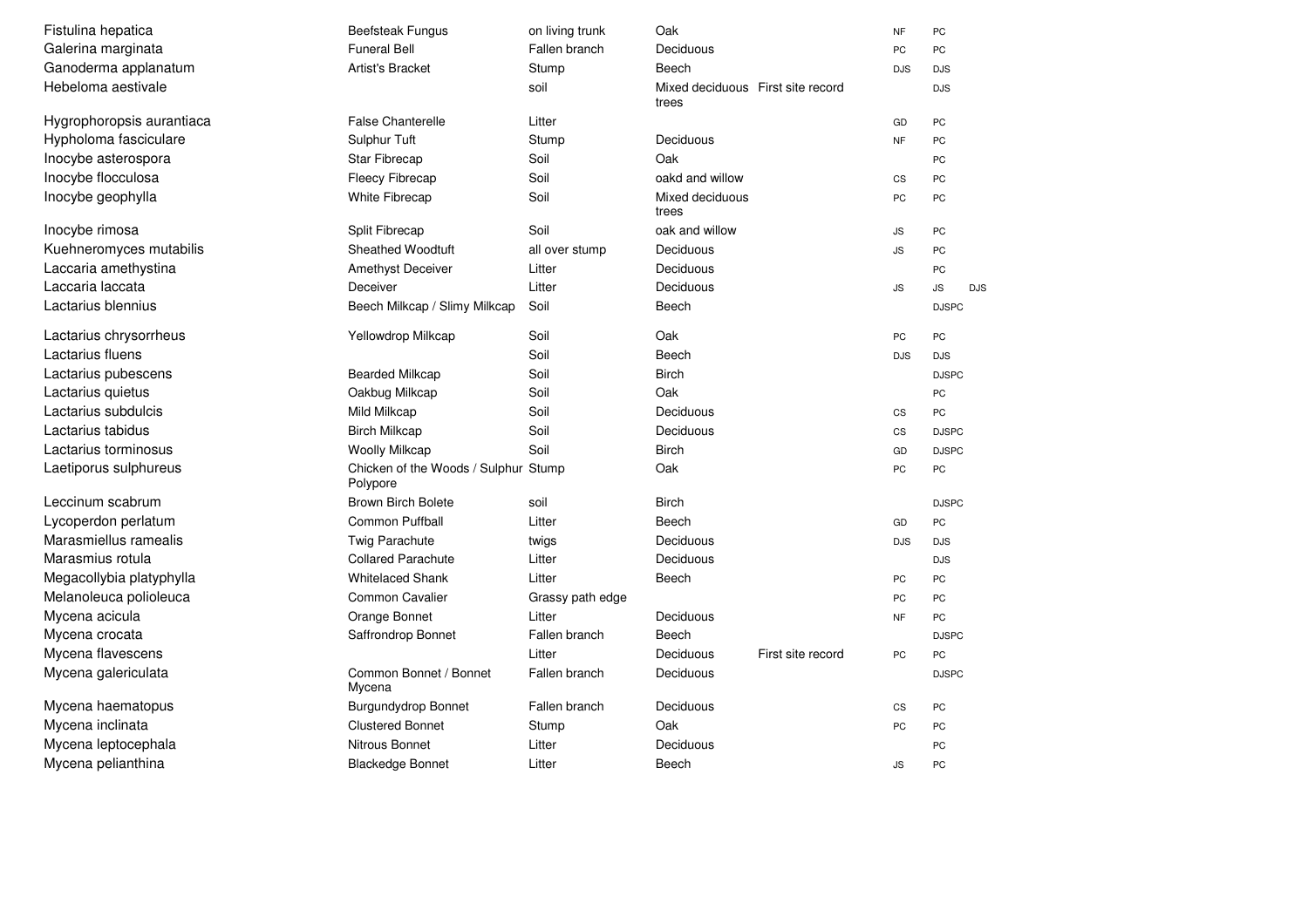| Fistulina hepatica        | <b>Beefsteak Fungus</b>                          | on living trunk  | Oak                                        |                   | <b>NF</b>  | PC               |
|---------------------------|--------------------------------------------------|------------------|--------------------------------------------|-------------------|------------|------------------|
| Galerina marginata        | <b>Funeral Bell</b>                              | Fallen branch    | Deciduous                                  |                   | PC         | PC               |
| Ganoderma applanatum      | <b>Artist's Bracket</b>                          | Stump            | Beech                                      |                   | <b>DJS</b> | <b>DJS</b>       |
| Hebeloma aestivale        |                                                  | soil             | Mixed deciduous First site record<br>trees |                   |            | <b>DJS</b>       |
| Hygrophoropsis aurantiaca | <b>False Chanterelle</b>                         | Litter           |                                            |                   | GD         | PC               |
| Hypholoma fasciculare     | Sulphur Tuft                                     | Stump            | Deciduous                                  |                   | <b>NF</b>  | PC               |
| Inocybe asterospora       | <b>Star Fibrecap</b>                             | Soil             | Oak                                        |                   |            | PC               |
| Inocybe flocculosa        | <b>Fleecy Fibrecap</b>                           | Soil             | oakd and willow                            |                   | CS         | PC               |
| Inocybe geophylla         | White Fibrecap                                   | Soil             | Mixed deciduous<br>trees                   |                   | PC         | PC               |
| Inocybe rimosa            | Split Fibrecap                                   | Soil             | oak and willow                             |                   | JS         | PC               |
| Kuehneromyces mutabilis   | <b>Sheathed Woodtuft</b>                         | all over stump   | Deciduous                                  |                   | JS         | PC               |
| Laccaria amethystina      | <b>Amethyst Deceiver</b>                         | Litter           | Deciduous                                  |                   |            | PC               |
| Laccaria laccata          | Deceiver                                         | Litter           | Deciduous                                  |                   | ${\sf JS}$ | JS<br><b>DJS</b> |
| Lactarius blennius        | Beech Milkcap / Slimy Milkcap                    | Soil             | Beech                                      |                   |            | <b>DJSPC</b>     |
| Lactarius chrysorrheus    | Yellowdrop Milkcap                               | Soil             | Oak                                        |                   | PC         | PC               |
| Lactarius fluens          |                                                  | Soil             | Beech                                      |                   | <b>DJS</b> | <b>DJS</b>       |
| Lactarius pubescens       | <b>Bearded Milkcap</b>                           | Soil             | <b>Birch</b>                               |                   |            | <b>DJSPC</b>     |
| Lactarius quietus         | Oakbug Milkcap                                   | Soil             | Oak                                        |                   |            | PC               |
| Lactarius subdulcis       | Mild Milkcap                                     | Soil             | Deciduous                                  |                   | CS         | PC               |
| Lactarius tabidus         | <b>Birch Milkcap</b>                             | Soil             | Deciduous                                  |                   | CS         | <b>DJSPC</b>     |
| Lactarius torminosus      | <b>Woolly Milkcap</b>                            | Soil             | <b>Birch</b>                               |                   | GD         | <b>DJSPC</b>     |
| Laetiporus sulphureus     | Chicken of the Woods / Sulphur Stump<br>Polypore |                  | Oak                                        |                   | PC         | PC               |
| Leccinum scabrum          | <b>Brown Birch Bolete</b>                        | soil             | <b>Birch</b>                               |                   |            | <b>DJSPC</b>     |
| Lycoperdon perlatum       | <b>Common Puffball</b>                           | Litter           | Beech                                      |                   | GD         | PC               |
| Marasmiellus ramealis     | Twig Parachute                                   | twigs            | Deciduous                                  |                   | <b>DJS</b> | <b>DJS</b>       |
| Marasmius rotula          | <b>Collared Parachute</b>                        | Litter           | Deciduous                                  |                   |            | <b>DJS</b>       |
| Megacollybia platyphylla  | <b>Whitelaced Shank</b>                          | Litter           | Beech                                      |                   | PC         | PC               |
| Melanoleuca polioleuca    | Common Cavalier                                  | Grassy path edge |                                            |                   | PC         | PC               |
| Mycena acicula            | Orange Bonnet                                    | Litter           | Deciduous                                  |                   | <b>NF</b>  | PC               |
| Mycena crocata            | Saffrondrop Bonnet                               | Fallen branch    | Beech                                      |                   |            | <b>DJSPC</b>     |
| Mycena flavescens         |                                                  | Litter           | Deciduous                                  | First site record | PC         | PC               |
| Mycena galericulata       | Common Bonnet / Bonnet<br>Mycena                 | Fallen branch    | Deciduous                                  |                   |            | <b>DJSPC</b>     |
| Mycena haematopus         | <b>Burgundydrop Bonnet</b>                       | Fallen branch    | Deciduous                                  |                   | CS         | PC               |
| Mycena inclinata          | <b>Clustered Bonnet</b>                          | Stump            | Oak                                        |                   | PC         | PC               |
| Mycena leptocephala       | Nitrous Bonnet                                   | Litter           | Deciduous                                  |                   |            | PC               |
| Mycena pelianthina        | <b>Blackedge Bonnet</b>                          | Litter           | Beech                                      |                   | JS         | PC               |
|                           |                                                  |                  |                                            |                   |            |                  |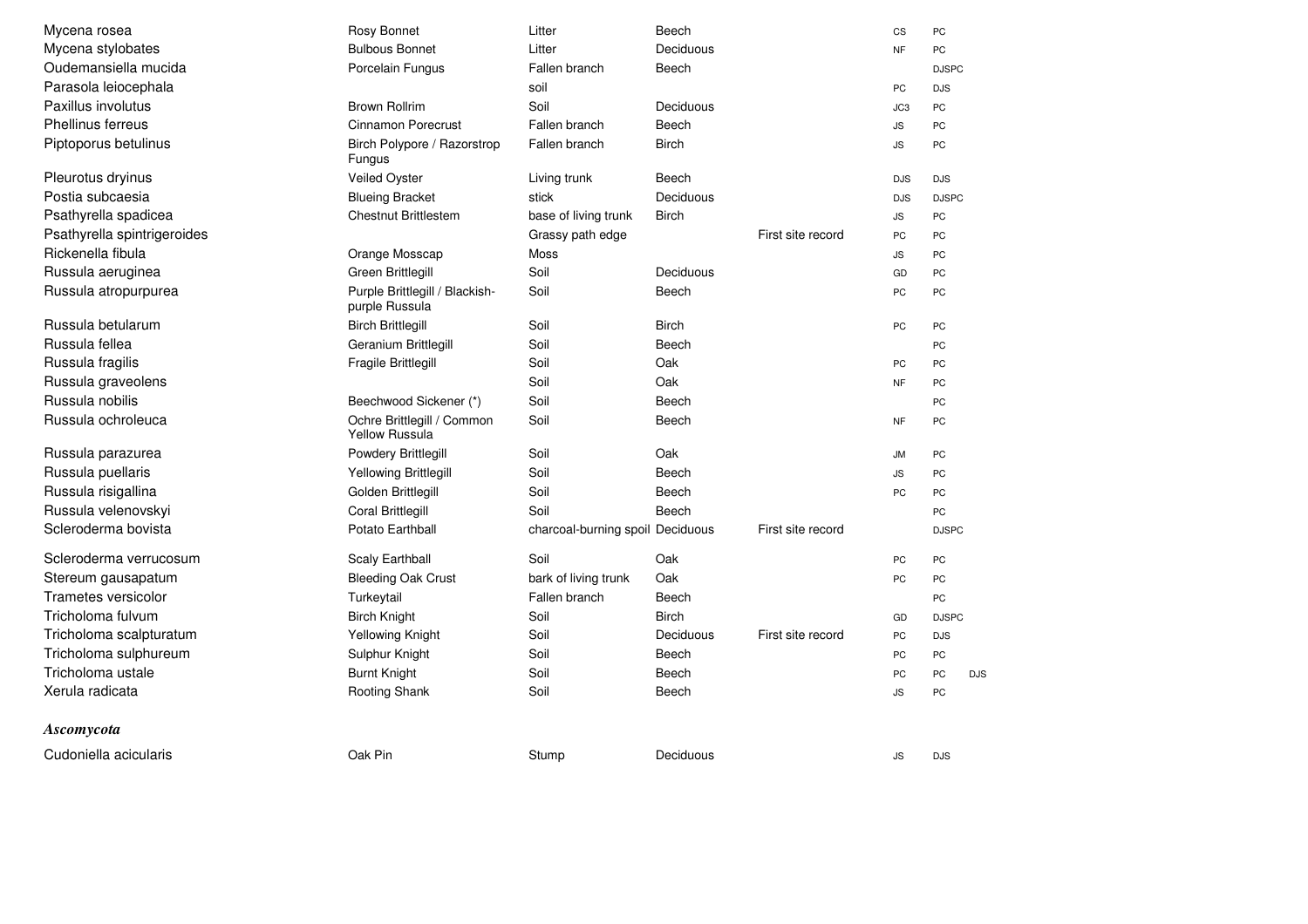| Mycena rosea                | Rosy Bonnet                                         | Litter                           | Beech        |                   | CS         | PC               |
|-----------------------------|-----------------------------------------------------|----------------------------------|--------------|-------------------|------------|------------------|
| Mycena stylobates           | <b>Bulbous Bonnet</b>                               | Litter                           | Deciduous    |                   | <b>NF</b>  | PC               |
| Oudemansiella mucida        | Porcelain Fungus                                    | Fallen branch                    | Beech        |                   |            | <b>DJSPC</b>     |
| Parasola leiocephala        |                                                     | soil                             |              |                   | PC         | <b>DJS</b>       |
| Paxillus involutus          | <b>Brown Rollrim</b>                                | Soil                             | Deciduous    |                   | JC3        | PC               |
| Phellinus ferreus           | Cinnamon Porecrust                                  | Fallen branch                    | Beech        |                   | <b>JS</b>  | PC               |
| Piptoporus betulinus        | Birch Polypore / Razorstrop<br>Fungus               | Fallen branch                    | <b>Birch</b> |                   | <b>JS</b>  | PC               |
| Pleurotus dryinus           | Veiled Oyster                                       | Living trunk                     | Beech        |                   | <b>DJS</b> | <b>DJS</b>       |
| Postia subcaesia            | <b>Blueing Bracket</b>                              | stick                            | Deciduous    |                   | <b>DJS</b> | <b>DJSPC</b>     |
| Psathyrella spadicea        | <b>Chestnut Brittlestem</b>                         | base of living trunk             | <b>Birch</b> |                   | <b>JS</b>  | PC               |
| Psathyrella spintrigeroides |                                                     | Grassy path edge                 |              | First site record | PC         | PC               |
| Rickenella fibula           | Orange Mosscap                                      | <b>Moss</b>                      |              |                   | <b>JS</b>  | PC               |
| Russula aeruginea           | Green Brittlegill                                   | Soil                             | Deciduous    |                   | GD         | PC               |
| Russula atropurpurea        | Purple Brittlegill / Blackish-<br>purple Russula    | Soil                             | Beech        |                   | PC         | PC               |
| Russula betularum           | <b>Birch Brittlegill</b>                            | Soil                             | <b>Birch</b> |                   | PC         | PC               |
| Russula fellea              | Geranium Brittlegill                                | Soil                             | Beech        |                   |            | PC               |
| Russula fragilis            | Fragile Brittlegill                                 | Soil                             | Oak          |                   | PC         | PC               |
| Russula graveolens          |                                                     | Soil                             | Oak          |                   | <b>NF</b>  | PC               |
| Russula nobilis             | Beechwood Sickener (*)                              | Soil                             | Beech        |                   |            | PC               |
| Russula ochroleuca          | Ochre Brittlegill / Common<br><b>Yellow Russula</b> | Soil                             | Beech        |                   | <b>NF</b>  | PC               |
| Russula parazurea           | Powdery Brittlegill                                 | Soil                             | Oak          |                   | <b>JM</b>  | PC               |
| Russula puellaris           | Yellowing Brittlegill                               | Soil                             | Beech        |                   | <b>JS</b>  | PC               |
| Russula risigallina         | Golden Brittlegill                                  | Soil                             | Beech        |                   | PC         | PC               |
| Russula velenovskyi         | Coral Brittlegill                                   | Soil                             | Beech        |                   |            | PC               |
| Scleroderma bovista         | Potato Earthball                                    | charcoal-burning spoil Deciduous |              | First site record |            | <b>DJSPC</b>     |
| Scleroderma verrucosum      | Scaly Earthball                                     | Soil                             | Oak          |                   | PC         | PC               |
| Stereum gausapatum          | <b>Bleeding Oak Crust</b>                           | bark of living trunk             | Oak          |                   | PC         | PC               |
| Trametes versicolor         | Turkeytail                                          | Fallen branch                    | Beech        |                   |            | PC               |
| Tricholoma fulvum           | <b>Birch Knight</b>                                 | Soil                             | <b>Birch</b> |                   | GD         | <b>DJSPC</b>     |
| Tricholoma scalpturatum     | Yellowing Knight                                    | Soil                             | Deciduous    | First site record | PC         | <b>DJS</b>       |
| Tricholoma sulphureum       | Sulphur Knight                                      | Soil                             | Beech        |                   | PC         | PC               |
| Tricholoma ustale           | <b>Burnt Knight</b>                                 | Soil                             | Beech        |                   | PC         | PC<br><b>DJS</b> |
| Xerula radicata             | Rooting Shank                                       | Soil                             | Beech        |                   | <b>JS</b>  | PC               |
| Ascomycota                  |                                                     |                                  |              |                   |            |                  |
| Cudoniella acicularis       | Oak Pin                                             | Stump                            | Deciduous    |                   | <b>JS</b>  | <b>DJS</b>       |